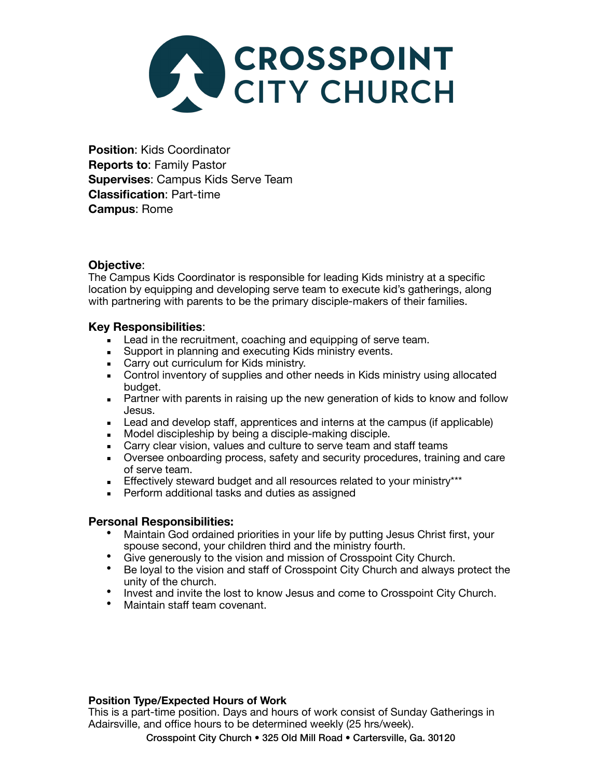

**Position**: Kids Coordinator **Reports to**: Family Pastor **Supervises**: Campus Kids Serve Team **Classification**: Part-time **Campus**: Rome

# **Objective**:

The Campus Kids Coordinator is responsible for leading Kids ministry at a specific location by equipping and developing serve team to execute kid's gatherings, along with partnering with parents to be the primary disciple-makers of their families.

## **Key Responsibilities**:

- Lead in the recruitment, coaching and equipping of serve team.
- **EXECUTE:** Support in planning and executing Kids ministry events.
- **EXEC** Carry out curriculum for Kids ministry.
- **EXED THE Control inventory of supplies and other needs in Kids ministry using allocated** budget.
- **EXECT** Partner with parents in raising up the new generation of kids to know and follow Jesus.
- Lead and develop staff, apprentices and interns at the campus (if applicable)
- Model discipleship by being a disciple-making disciple.
- Carry clear vision, values and culture to serve team and staff teams
- Duersee onboarding process, safety and security procedures, training and care of serve team.
- **Effectively steward budget and all resources related to your ministry\*\*\***
- **Perform additional tasks and duties as assigned**

## **Personal Responsibilities:**

- Maintain God ordained priorities in your life by putting Jesus Christ first, your
- spouse second, your children third and the ministry fourth.<br>
Give generously to the vision and mission of Crosspoint City Church.
- Be loyal to the vision and staff of Crosspoint City Church and always protect the unity of the church.
- Invest and invite the lost to know Jesus and come to Crosspoint City Church. Maintain staff team covenant.
- 

## **Position Type/Expected Hours of Work**

This is a part-time position. Days and hours of work consist of Sunday Gatherings in Adairsville, and office hours to be determined weekly (25 hrs/week).